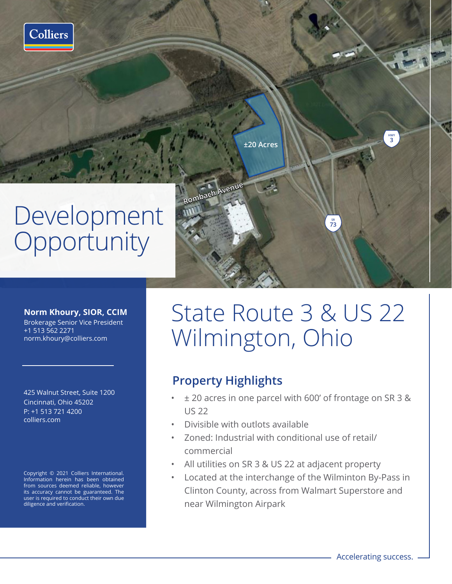

## Development **Opportunity**

**Norm Khoury, SIOR, CCIM** Brokerage Senior Vice President +1 513 562 2271

norm.khoury@colliers.com

425 Walnut Street, Suite 1200 Cincinnati, Ohio 45202 P: +1 513 721 4200 colliers.com

Copyright © 2021 Colliers International. Information herein has been obtained from sources deemed reliable, however its accuracy cannot be guaranteed. The user is required to conduct their own due diligence and verification.

## State Route 3 & US 22 Wilmington, Ohio

**SR 73**

**HWY 3**

## **Property Highlights**

**Rombach Avenue**

**±20 Acres**

- ± 20 acres in one parcel with 600' of frontage on SR 3 & US 22
- Divisible with outlots available
- Zoned: Industrial with conditional use of retail/ commercial
- All utilities on SR 3 & US 22 at adjacent property
- Located at the interchange of the Wilminton By-Pass in Clinton County, across from Walmart Superstore and near Wilmington Airpark